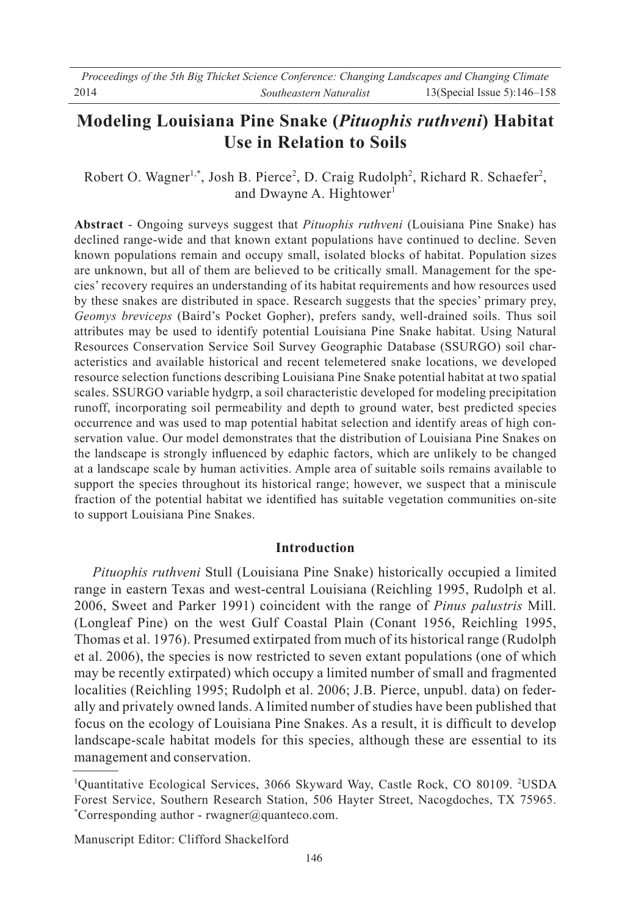# **Modeling Louisiana Pine Snake (***Pituophis ruthveni***) Habitat Use in Relation to Soils**

Robert O. Wagner<sup>1,\*</sup>, Josh B. Pierce<sup>2</sup>, D. Craig Rudolph<sup>2</sup>, Richard R. Schaefer<sup>2</sup>, and Dwayne A. Hightower<sup>1</sup>

**Abstract** - Ongoing surveys suggest that *Pituophis ruthveni* (Louisiana Pine Snake) has declined range-wide and that known extant populations have continued to decline. Seven known populations remain and occupy small, isolated blocks of habitat. Population sizes are unknown, but all of them are believed to be critically small. Management for the species' recovery requires an understanding of its habitat requirements and how resources used by these snakes are distributed in space. Research suggests that the species' primary prey, *Geomys breviceps* (Baird's Pocket Gopher), prefers sandy, well-drained soils. Thus soil attributes may be used to identify potential Louisiana Pine Snake habitat. Using Natural Resources Conservation Service Soil Survey Geographic Database (SSURGO) soil characteristics and available historical and recent telemetered snake locations, we developed resource selection functions describing Louisiana Pine Snake potential habitat at two spatial scales. SSURGO variable hydgrp, a soil characteristic developed for modeling precipitation runoff, incorporating soil permeability and depth to ground water, best predicted species occurrence and was used to map potential habitat selection and identify areas of high conservation value. Our model demonstrates that the distribution of Louisiana Pine Snakes on the landscape is strongly influenced by edaphic factors, which are unlikely to be changed at a landscape scale by human activities. Ample area of suitable soils remains available to support the species throughout its historical range; however, we suspect that a miniscule fraction of the potential habitat we identified has suitable vegetation communities on-site to support Louisiana Pine Snakes.

# **Introduction**

 *Pituophis ruthveni* Stull (Louisiana Pine Snake) historically occupied a limited range in eastern Texas and west-central Louisiana (Reichling 1995, Rudolph et al. 2006, Sweet and Parker 1991) coincident with the range of *Pinus palustris* Mill. (Longleaf Pine) on the west Gulf Coastal Plain (Conant 1956, Reichling 1995, Thomas et al. 1976). Presumed extirpated from much of its historical range (Rudolph et al. 2006), the species is now restricted to seven extant populations (one of which may be recently extirpated) which occupy a limited number of small and fragmented localities (Reichling 1995; Rudolph et al. 2006; J.B. Pierce, unpubl. data) on federally and privately owned lands. A limited number of studies have been published that focus on the ecology of Louisiana Pine Snakes. As a result, it is difficult to develop landscape-scale habitat models for this species, although these are essential to its management and conservation.

Manuscript Editor: Clifford Shackelford

<sup>&</sup>lt;sup>1</sup>Quantitative Ecological Services, 3066 Skyward Way, Castle Rock, CO 80109. <sup>2</sup>USDA Forest Service, Southern Research Station, 506 Hayter Street, Nacogdoches, TX 75965. \* Corresponding author - rwagner@quanteco.com.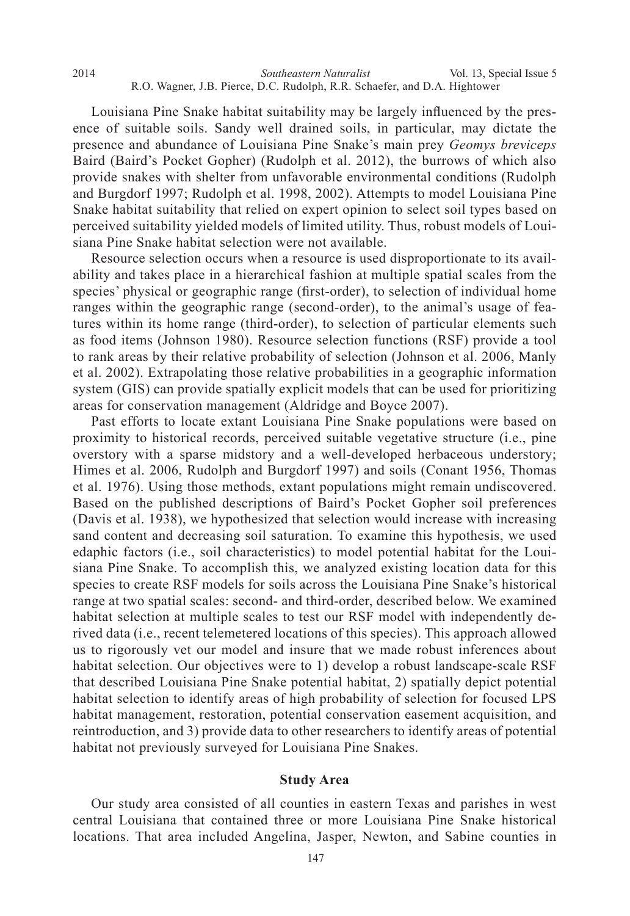Louisiana Pine Snake habitat suitability may be largely influenced by the presence of suitable soils. Sandy well drained soils, in particular, may dictate the presence and abundance of Louisiana Pine Snake's main prey *Geomys breviceps* Baird (Baird's Pocket Gopher) (Rudolph et al. 2012), the burrows of which also provide snakes with shelter from unfavorable environmental conditions (Rudolph and Burgdorf 1997; Rudolph et al. 1998, 2002). Attempts to model Louisiana Pine Snake habitat suitability that relied on expert opinion to select soil types based on perceived suitability yielded models of limited utility. Thus, robust models of Louisiana Pine Snake habitat selection were not available.

 Resource selection occurs when a resource is used disproportionate to its availability and takes place in a hierarchical fashion at multiple spatial scales from the species' physical or geographic range (first-order), to selection of individual home ranges within the geographic range (second-order), to the animal's usage of features within its home range (third-order), to selection of particular elements such as food items (Johnson 1980). Resource selection functions (RSF) provide a tool to rank areas by their relative probability of selection (Johnson et al. 2006, Manly et al. 2002). Extrapolating those relative probabilities in a geographic information system (GIS) can provide spatially explicit models that can be used for prioritizing areas for conservation management (Aldridge and Boyce 2007).

 Past efforts to locate extant Louisiana Pine Snake populations were based on proximity to historical records, perceived suitable vegetative structure (i.e., pine overstory with a sparse midstory and a well-developed herbaceous understory; Himes et al. 2006, Rudolph and Burgdorf 1997) and soils (Conant 1956, Thomas et al. 1976). Using those methods, extant populations might remain undiscovered. Based on the published descriptions of Baird's Pocket Gopher soil preferences (Davis et al. 1938), we hypothesized that selection would increase with increasing sand content and decreasing soil saturation. To examine this hypothesis, we used edaphic factors (i.e., soil characteristics) to model potential habitat for the Louisiana Pine Snake. To accomplish this, we analyzed existing location data for this species to create RSF models for soils across the Louisiana Pine Snake's historical range at two spatial scales: second- and third-order, described below. We examined habitat selection at multiple scales to test our RSF model with independently derived data (i.e., recent telemetered locations of this species). This approach allowed us to rigorously vet our model and insure that we made robust inferences about habitat selection. Our objectives were to 1) develop a robust landscape-scale RSF that described Louisiana Pine Snake potential habitat, 2) spatially depict potential habitat selection to identify areas of high probability of selection for focused LPS habitat management, restoration, potential conservation easement acquisition, and reintroduction, and 3) provide data to other researchers to identify areas of potential habitat not previously surveyed for Louisiana Pine Snakes.

#### **Study Area**

 Our study area consisted of all counties in eastern Texas and parishes in west central Louisiana that contained three or more Louisiana Pine Snake historical locations. That area included Angelina, Jasper, Newton, and Sabine counties in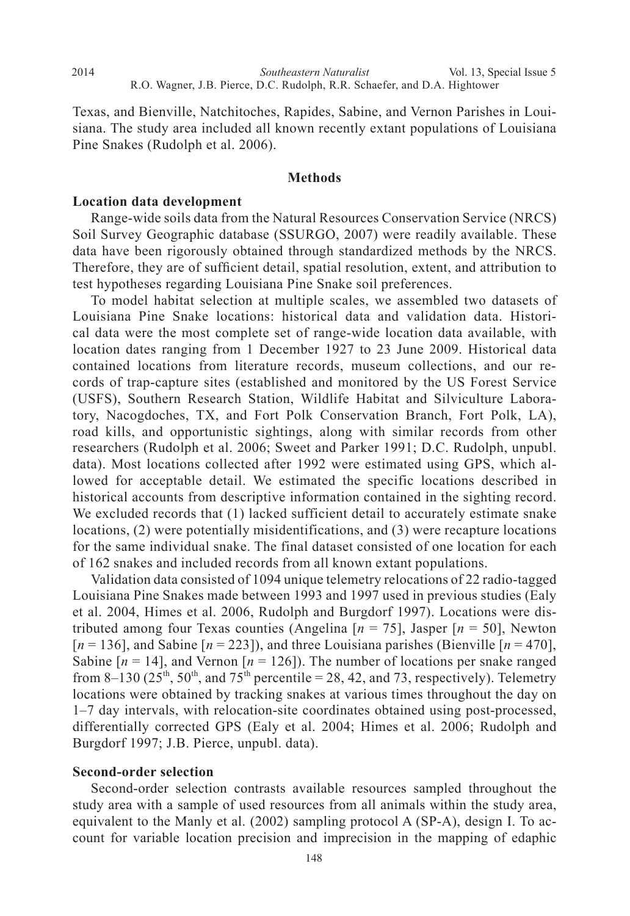Texas, and Bienville, Natchitoches, Rapides, Sabine, and Vernon Parishes in Louisiana. The study area included all known recently extant populations of Louisiana Pine Snakes (Rudolph et al. 2006).

## **Methods**

### **Location data development**

2014

 Range-wide soils data from the Natural Resources Conservation Service (NRCS) Soil Survey Geographic database (SSURGO, 2007) were readily available. These data have been rigorously obtained through standardized methods by the NRCS. Therefore, they are of sufficient detail, spatial resolution, extent, and attribution to test hypotheses regarding Louisiana Pine Snake soil preferences.

 To model habitat selection at multiple scales, we assembled two datasets of Louisiana Pine Snake locations: historical data and validation data. Historical data were the most complete set of range-wide location data available, with location dates ranging from 1 December 1927 to 23 June 2009. Historical data contained locations from literature records, museum collections, and our records of trap-capture sites (established and monitored by the US Forest Service (USFS), Southern Research Station, Wildlife Habitat and Silviculture Laboratory, Nacogdoches, TX, and Fort Polk Conservation Branch, Fort Polk, LA), road kills, and opportunistic sightings, along with similar records from other researchers (Rudolph et al. 2006; Sweet and Parker 1991; D.C. Rudolph, unpubl. data). Most locations collected after 1992 were estimated using GPS, which allowed for acceptable detail. We estimated the specific locations described in historical accounts from descriptive information contained in the sighting record. We excluded records that (1) lacked sufficient detail to accurately estimate snake locations, (2) were potentially misidentifications, and (3) were recapture locations for the same individual snake. The final dataset consisted of one location for each of 162 snakes and included records from all known extant populations.

 Validation data consisted of 1094 unique telemetry relocations of 22 radio-tagged Louisiana Pine Snakes made between 1993 and 1997 used in previous studies (Ealy et al. 2004, Himes et al. 2006, Rudolph and Burgdorf 1997). Locations were distributed among four Texas counties (Angelina [*n* = 75], Jasper [*n* = 50], Newton  $[n = 136]$ , and Sabine  $[n = 223]$ ), and three Louisiana parishes (Bienville  $[n = 470]$ , Sabine  $[n = 14]$ , and Vernon  $[n = 126]$ ). The number of locations per snake ranged from 8–130 ( $25<sup>th</sup>$ ,  $50<sup>th</sup>$ , and  $75<sup>th</sup>$  percentile = 28, 42, and 73, respectively). Telemetry locations were obtained by tracking snakes at various times throughout the day on 1–7 day intervals, with relocation-site coordinates obtained using post-processed, differentially corrected GPS (Ealy et al. 2004; Himes et al. 2006; Rudolph and Burgdorf 1997; J.B. Pierce, unpubl. data).

#### **Second-order selection**

 Second-order selection contrasts available resources sampled throughout the study area with a sample of used resources from all animals within the study area, equivalent to the Manly et al. (2002) sampling protocol A (SP-A), design I. To account for variable location precision and imprecision in the mapping of edaphic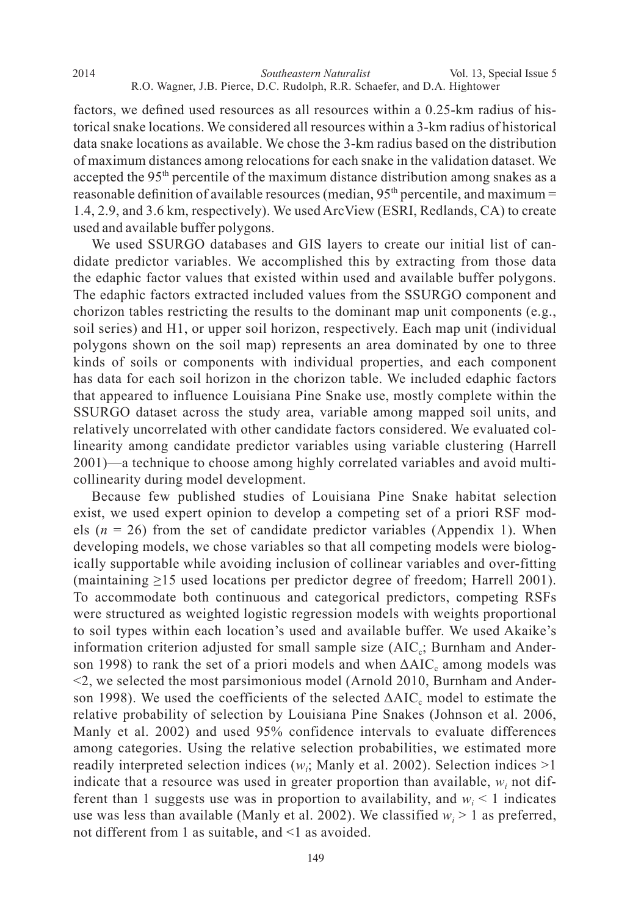*Southeastern Naturalist* 2014 Vol. 13, Special Issue 5 R.O. Wagner, J.B. Pierce, D.C. Rudolph, R.R. Schaefer, and D.A. Hightower

factors, we defined used resources as all resources within a 0.25-km radius of historical snake locations. We considered all resources within a 3-km radius of historical data snake locations as available. We chose the 3-km radius based on the distribution of maximum distances among relocations for each snake in the validation dataset. We accepted the 95<sup>th</sup> percentile of the maximum distance distribution among snakes as a reasonable definition of available resources (median, 95<sup>th</sup> percentile, and maximum = 1.4, 2.9, and 3.6 km, respectively). We used ArcView (ESRI, Redlands, CA) to create used and available buffer polygons.

 We used SSURGO databases and GIS layers to create our initial list of candidate predictor variables. We accomplished this by extracting from those data the edaphic factor values that existed within used and available buffer polygons. The edaphic factors extracted included values from the SSURGO component and chorizon tables restricting the results to the dominant map unit components  $(e.g.,)$ soil series) and H1, or upper soil horizon, respectively. Each map unit (individual polygons shown on the soil map) represents an area dominated by one to three kinds of soils or components with individual properties, and each component has data for each soil horizon in the chorizon table. We included edaphic factors that appeared to influence Louisiana Pine Snake use, mostly complete within the SSURGO dataset across the study area, variable among mapped soil units, and relatively uncorrelated with other candidate factors considered. We evaluated collinearity among candidate predictor variables using variable clustering (Harrell 2001)—a technique to choose among highly correlated variables and avoid multicollinearity during model development.

 Because few published studies of Louisiana Pine Snake habitat selection exist, we used expert opinion to develop a competing set of a priori RSF models ( $n = 26$ ) from the set of candidate predictor variables (Appendix 1). When developing models, we chose variables so that all competing models were biologically supportable while avoiding inclusion of collinear variables and over-fitting (maintaining  $\geq$ 15 used locations per predictor degree of freedom; Harrell 2001). To accommodate both continuous and categorical predictors, competing RSFs were structured as weighted logistic regression models with weights proportional to soil types within each location's used and available buffer. We used Akaike's information criterion adjusted for small sample size  $(AIC<sub>c</sub>; Burnham and Ander- $\frac{AIC<sub>c</sub>}{AIC}$$ son 1998) to rank the set of a priori models and when  $\Delta AIC_c$  among models was <2, we selected the most parsimonious model (Arnold 2010, Burnham and Anderson 1998). We used the coefficients of the selected  $\Delta AIC_c$  model to estimate the relative probability of selection by Louisiana Pine Snakes (Johnson et al. 2006, Manly et al. 2002) and used 95% confidence intervals to evaluate differences among categories. Using the relative selection probabilities, we estimated more readily interpreted selection indices  $(w_i;$  Manly et al. 2002). Selection indices  $>1$ indicate that a resource was used in greater proportion than available,  $w_i$  not different than 1 suggests use was in proportion to availability, and  $w_i < 1$  indicates use was less than available (Manly et al. 2002). We classified  $w_i > 1$  as preferred, not different from 1 as suitable, and <1 as avoided.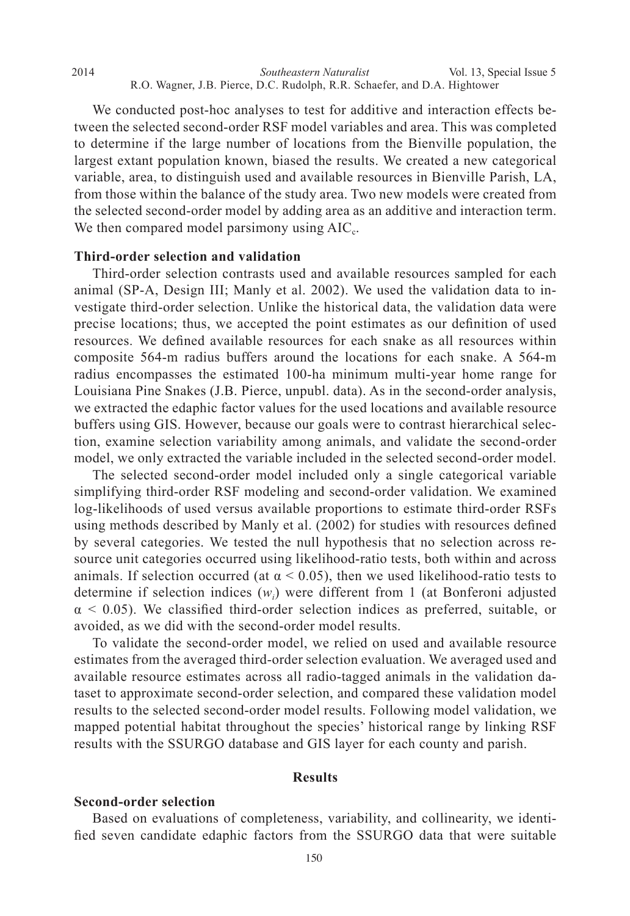We conducted post-hoc analyses to test for additive and interaction effects between the selected second-order RSF model variables and area. This was completed to determine if the large number of locations from the Bienville population, the largest extant population known, biased the results. We created a new categorical variable, area, to distinguish used and available resources in Bienville Parish, LA, from those within the balance of the study area. Two new models were created from the selected second-order model by adding area as an additive and interaction term. We then compared model parsimony using  $AIC<sub>c</sub>$ .

#### **Third-order selection and validation**

 Third-order selection contrasts used and available resources sampled for each animal (SP-A, Design III; Manly et al. 2002). We used the validation data to investigate third-order selection. Unlike the historical data, the validation data were precise locations; thus, we accepted the point estimates as our definition of used resources. We defined available resources for each snake as all resources within composite 564-m radius buffers around the locations for each snake. A 564-m radius encompasses the estimated 100-ha minimum multi-year home range for Louisiana Pine Snakes (J.B. Pierce, unpubl. data). As in the second-order analysis, we extracted the edaphic factor values for the used locations and available resource buffers using GIS. However, because our goals were to contrast hierarchical selection, examine selection variability among animals, and validate the second-order model, we only extracted the variable included in the selected second-order model.

 The selected second-order model included only a single categorical variable simplifying third-order RSF modeling and second-order validation. We examined log-likelihoods of used versus available proportions to estimate third-order RSFs using methods described by Manly et al. (2002) for studies with resources defined by several categories. We tested the null hypothesis that no selection across resource unit categories occurred using likelihood-ratio tests, both within and across animals. If selection occurred (at  $\alpha$  < 0.05), then we used likelihood-ratio tests to determine if selection indices (*wi* ) were different from 1 (at Bonferoni adjusted  $\alpha$  < 0.05). We classified third-order selection indices as preferred, suitable, or avoided, as we did with the second-order model results.

 To validate the second-order model, we relied on used and available resource estimates from the averaged third-order selection evaluation. We averaged used and available resource estimates across all radio-tagged animals in the validation dataset to approximate second-order selection, and compared these validation model results to the selected second-order model results. Following model validation, we mapped potential habitat throughout the species' historical range by linking RSF results with the SSURGO database and GIS layer for each county and parish.

### **Results**

# **Second-order selection**

 Based on evaluations of completeness, variability, and collinearity, we identi fied seven candidate edaphic factors from the SSURGO data that were suitable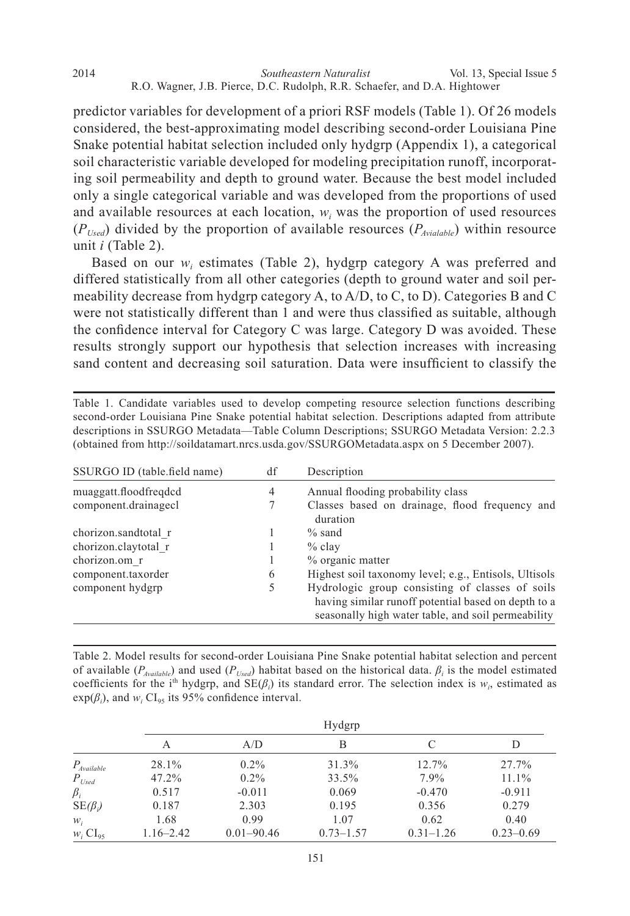*Southeastern Naturalist* 2014 Vol. 13, Special Issue 5 R.O. Wagner, J.B. Pierce, D.C. Rudolph, R.R. Schaefer, and D.A. Hightower

predictor variables for development of a priori RSF models (Table 1). Of 26 models considered, the best-approximating model describing second-order Louisiana Pine Snake potential habitat selection included only hydgrp (Appendix 1), a categorical soil characteristic variable developed for modeling precipitation runoff, incorporating soil permeability and depth to ground water. Because the best model included only a single categorical variable and was developed from the proportions of used and available resources at each location,  $w_i$  was the proportion of used resources  $(P_{Used})$  divided by the proportion of available resources  $(P_{\text{available}})$  within resource unit *i* (Table 2).

Based on our  $w_i$  estimates (Table 2), hydgrp category A was preferred and differed statistically from all other categories (depth to ground water and soil permeability decrease from hydgrp category A, to A/D, to C, to D). Categories B and C were not statistically different than 1 and were thus classified as suitable, although the confidence interval for Category C was large. Category D was avoided. These results strongly support our hypothesis that selection increases with increasing sand content and decreasing soil saturation. Data were insufficient to classify the

| Table 1. Candidate variables used to develop competing resource selection functions describing     |
|----------------------------------------------------------------------------------------------------|
| second-order Louisiana Pine Snake potential habitat selection. Descriptions adapted from attribute |
| descriptions in SSURGO Metadata—Table Column Descriptions; SSURGO Metadata Version: 2.2.3          |
| (obtained from http://soildatamart.nrcs.usda.gov/SSURGOMetadata.aspx on 5 December 2007).          |

| SSURGO ID (table.field name) | df             | Description                                                                                                                                                  |
|------------------------------|----------------|--------------------------------------------------------------------------------------------------------------------------------------------------------------|
| muaggatt.floodfreqdcd        | $\overline{4}$ | Annual flooding probability class                                                                                                                            |
| component.drainagec1         | 7              | Classes based on drainage, flood frequency and<br>duration                                                                                                   |
| chorizon.sandtotal r         |                | $\%$ sand                                                                                                                                                    |
| chorizon.claytotal r         |                | $%$ clay                                                                                                                                                     |
| chorizon.om r                |                | % organic matter                                                                                                                                             |
| component.taxorder           | 6              | Highest soil taxonomy level; e.g., Entisols, Ultisols                                                                                                        |
| component hydgrp             | 5              | Hydrologic group consisting of classes of soils<br>having similar runoff potential based on depth to a<br>seasonally high water table, and soil permeability |

Table 2. Model results for second-order Louisiana Pine Snake potential habitat selection and percent of available  $(P_{\text{Avaliable}})$  and used  $(P_{\text{Used}})$  habitat based on the historical data.  $\beta_i$  is the model estimated coefficients for the i<sup>th</sup> hydgrp, and  $SE(\beta_i)$  its standard error. The selection index is  $w_i$ , estimated as  $exp(\beta_i)$ , and  $w_i$  CI<sub>95</sub> its 95% confidence interval.

|                        |               | Hydgrp         |               |               |               |  |  |  |  |  |
|------------------------|---------------|----------------|---------------|---------------|---------------|--|--|--|--|--|
|                        | А             | A/D            | B             | C             | I)            |  |  |  |  |  |
| $P_{\text{Available}}$ | 28.1%         | $0.2\%$        | 31.3%         | 12.7%         | 27.7%         |  |  |  |  |  |
| $P_{\textit{Used}}$    | 47.2%         | $0.2\%$        | 33.5%         | 7.9%          | $11.1\%$      |  |  |  |  |  |
| $\beta_i$              | 0.517         | $-0.011$       | 0.069         | $-0.470$      | $-0.911$      |  |  |  |  |  |
| $SE(\beta_i)$          | 0.187         | 2.303          | 0.195         | 0.356         | 0.279         |  |  |  |  |  |
| $W_i$                  | 1.68          | 0.99           | 1.07          | 0.62          | 0.40          |  |  |  |  |  |
| $W_i$ $CI_{95}$        | $1.16 - 2.42$ | $0.01 - 90.46$ | $0.73 - 1.57$ | $0.31 - 1.26$ | $0.23 - 0.69$ |  |  |  |  |  |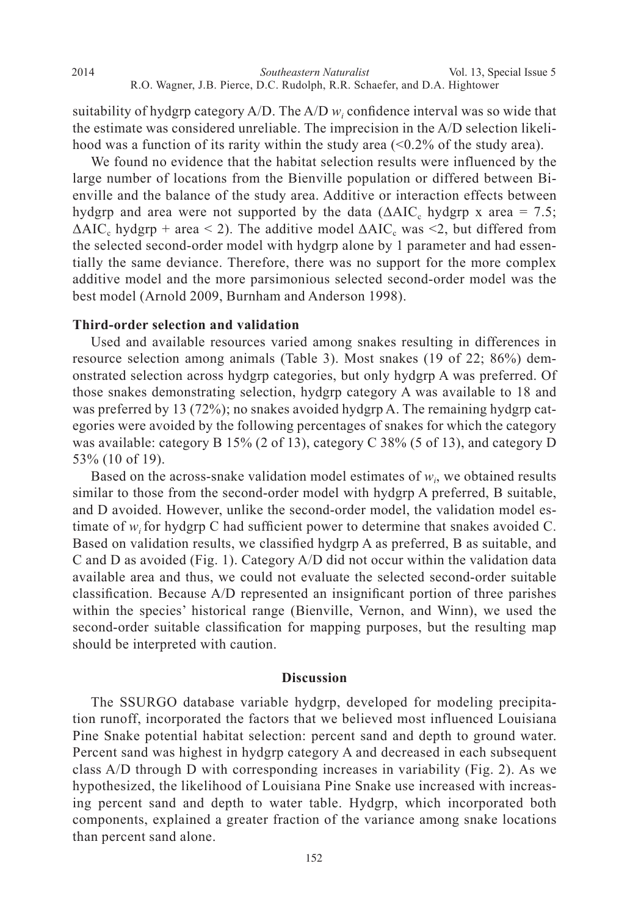suitability of hydgrp category  $A/D$ . The  $A/D w_i$  confidence interval was so wide that the estimate was considered unreliable. The imprecision in the A/D selection likelihood was a function of its rarity within the study area  $\left($  <0.2% of the study area).

 We found no evidence that the habitat selection results were influenced by the large number of locations from the Bienville population or differed between Bienville and the balance of the study area. Additive or interaction effects between hydgrp and area were not supported by the data ( $\triangle AIC_c$  hydgrp x area = 7.5;  $\Delta AIC_c$  hydgrp + area < 2). The additive model  $\Delta AIC_c$  was <2, but differed from the selected second-order model with hydgrp alone by 1 parameter and had essentially the same deviance. Therefore, there was no support for the more complex additive model and the more parsimonious selected second-order model was the best model (Arnold 2009, Burnham and Anderson 1998).

### **Third-order selection and validation**

 Used and available resources varied among snakes resulting in differences in resource selection among animals (Table 3). Most snakes (19 of 22; 86%) demonstrated selection across hydgrp categories, but only hydgrp A was preferred. Of those snakes demonstrating selection, hydgrp category A was available to 18 and was preferred by 13 (72%); no snakes avoided hydgrp A. The remaining hydgrp categories were avoided by the following percentages of snakes for which the category was available: category B 15% (2 of 13), category C 38% (5 of 13), and category D 53% (10 of 19).

Based on the across-snake validation model estimates of  $w_i$ , we obtained results similar to those from the second-order model with hydgrp A preferred, B suitable, and D avoided. However, unlike the second-order model, the validation model estimate of  $w_i$  for hydgrp C had sufficient power to determine that snakes avoided C. Based on validation results, we classified hydgrp A as preferred, B as suitable, and C and D as avoided (Fig. 1). Category A/D did not occur within the validation data available area and thus, we could not evaluate the selected second-order suitable classification. Because A/D represented an insignificant portion of three parishes within the species' historical range (Bienville, Vernon, and Winn), we used the second-order suitable classification for mapping purposes, but the resulting map should be interpreted with caution.

#### **Discussion**

 The SSURGO database variable hydgrp, developed for modeling precipitation runoff, incorporated the factors that we believed most influenced Louisiana Pine Snake potential habitat selection: percent sand and depth to ground water. Percent sand was highest in hydgrp category A and decreased in each subsequent class A/D through D with corresponding increases in variability (Fig. 2). As we hypothesized, the likelihood of Louisiana Pine Snake use increased with increasing percent sand and depth to water table. Hydgrp, which incorporated both components, explained a greater fraction of the variance among snake locations than percent sand alone.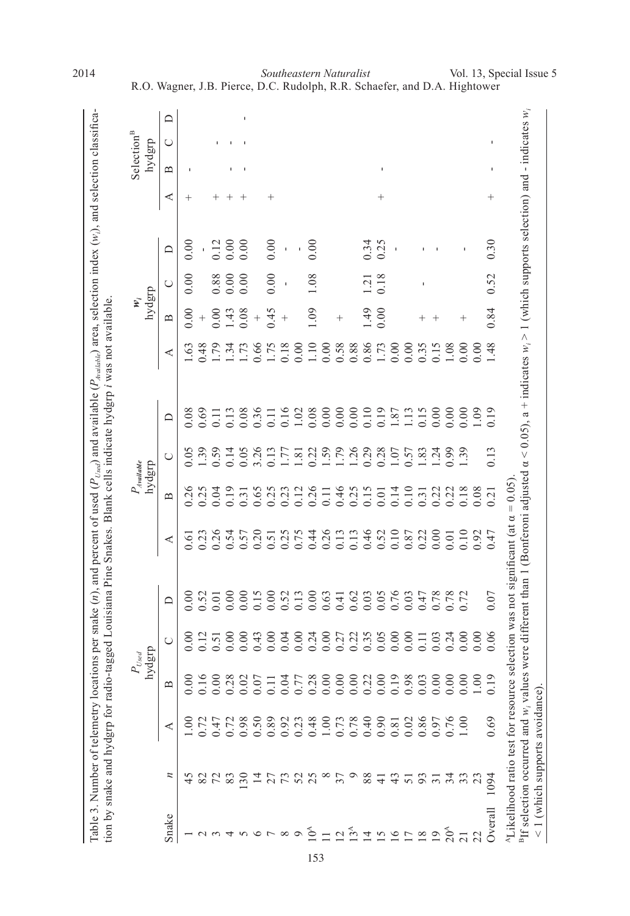| $\cup$<br>മ<br>J.<br>ı<br>ı<br>⋖<br>$\hspace{0.1mm} +$<br>$^{+}$<br>$\hspace{0.1mm} +$<br>$^+$<br>$^+$<br>$^+$<br>$^+$<br>0.30<br>0.00<br>0.00<br>0.34<br>0.00<br>0.12<br>0.00<br>0.25<br>0.00<br>$\Box$<br>$\mathbf{I}$<br>$\mathbf{I}$<br>0.52<br>0.00<br>1.08<br>0.18<br>0.00<br>0.88<br>0.00<br>0.00<br>$\overline{c}$<br>Õ<br>$\mathbf{I}$<br>I.<br>0.84<br>1.09<br>0.00<br>0.00<br>0.45<br>1.49<br>0.00<br>0.08<br>1.43<br>$^{+}$<br>$^{+}$<br>$^{+}$<br>$^{+}$<br>$\hspace{0.1mm} +$<br>മ<br>$\, +$<br>$^{+}$<br>0.86<br>1.48<br>1.79<br>0.66<br>$0.18\,$<br>1.10<br>0.58<br>0.88<br>0.00<br>0.00<br>0.48<br>1.75<br>0.00<br>0.00<br>1.73<br>0.35<br>0.15<br>1.08<br>0.00<br>0.00<br>1.63<br>1.34<br>1.73<br>⋖<br>0.19<br>0.19<br>0.69<br>0.36<br>0.16<br>0.08<br>0.00<br>0.00<br>0.00<br>0.10<br>0.15<br>0.00<br>0.00<br>0.00<br>0.09<br>0.08<br>0.08<br>1.02<br>1.87<br>1.13<br>0.13<br>0.11<br>$\Xi$<br>≏<br>0.13<br>3.26<br>1.59<br>1.79<br>0.28<br>1.24<br>1.39<br>0.59<br>0.13<br>1.26<br>0.29<br>1.07<br>0.57<br>1.83<br>0.99<br>1.39<br>0.05<br>0.14<br>0.05<br>0.22<br>E<br>$\overline{8}$<br>$\cup$<br>0.26<br>0.46<br>0.26<br>0.25<br>0.04<br>0.19<br>0.65<br>0.25<br>0.25<br>0.15<br>0.14<br>0.10<br>0.22<br>0.18<br>0.08<br>0.23<br>0.12<br>0.22<br>$\overline{0}$ .<br>0.01<br>0.31<br>0.31<br>$\overline{Q}$<br>$\mathbf{\Omega}$<br>0.26<br>0.46<br>0.52<br>0.10<br>0.00<br>0.23<br>0.26<br>0.54<br>0.20<br>0.75<br>0.44<br>0.13<br>0.87<br>0.22<br>0.10<br>0.92<br>0.57<br>0.25<br>0.13<br>0.47<br>0.51<br>0.01<br>0.61<br>⋖<br>0.07<br>0.15<br>0.00<br>0.05<br>0.76<br>0.00<br>0.52<br>0.00<br>0.00<br>0.52<br>0.13<br>0.00<br>0.63<br>0.62<br>0.03<br>0.03<br>0.78<br>0.78<br>0.72<br>0.47<br>0.01<br>0.41<br>$\Box$<br>$0.27$<br>$0.23$<br>$0.35$<br>0.05<br>0.06<br>0.00<br>0.24<br>0.00<br>0.00000<br>0.00<br>0.12<br>0.00<br>0.00<br>0.43<br>0.00<br>0.04<br>$\begin{array}{c} 0.11 \\ 0.03 \end{array}$<br>0.24<br>0.00<br>0.51<br>$\cup$<br>0.19<br>0.16<br>1.00<br>0.00<br>0.00<br>0.28<br>0.19<br>0.98<br>0.00<br>0.00<br>0.02<br>0.28<br>0.00<br>0.00000<br>0.22<br>0.00<br>0.03<br>0.00<br>0.04<br>0.07<br>0.77<br>$\mathbf{\Omega}$<br>0.89<br>$0.48$<br>1.00<br>0.76<br>0.69<br>0.98<br>0.50<br>$0.92$<br>$0.23$<br>$0.73$<br>$0.78$<br>0.40<br>0.90<br>0.02<br>0.86<br>0.97<br>$\frac{8}{1}$<br>0.72<br>0.72<br>1.00<br>0.47<br>0.81<br>⋖<br>$\overline{a}$<br>52<br>25<br>$\infty$<br>37<br>$\circ$<br>45<br>$\overline{130}$<br>그<br>27<br>88<br>93<br>23<br>82<br>$\mathcal{L}$<br>83<br>$\frac{3}{4}$<br>51<br>$\overline{5}$<br>1094<br>두<br>Overall<br>$20^{\circ}$<br>$10^4$<br>$\infty$<br>$\circ$<br>$\overline{2}$<br>৩<br>$\overline{1}$<br>$\overline{5}$<br>$\overline{16}$<br>$\frac{8}{18}$<br>$\overline{19}$<br>22<br>$\overline{21}$ | were different than 1 (Bonferoni adjusted $\alpha$ < 0.05), a + indicates $w_i > 1$ (which supports selection) and - indicates $w_i$<br>$\Box$<br>ection was not significant (at $\alpha = 0.05$ )<br><sup>A</sup> Likelihood ratio test for resource se! | <sup>B</sup> If selection occurred and w <sub>i</sub> values<br><1 (which supports avoidance) |       |  | hyd | dist<br>$P_{\mathit{Used}}$ |  | hydgrp | $P_{A \text{ will} \text{able}}$ |  | hydgrp<br>$\mathbf{w}_i$ |  | Selection <sup>B</sup><br>hydgrp |  |
|-----------------------------------------------------------------------------------------------------------------------------------------------------------------------------------------------------------------------------------------------------------------------------------------------------------------------------------------------------------------------------------------------------------------------------------------------------------------------------------------------------------------------------------------------------------------------------------------------------------------------------------------------------------------------------------------------------------------------------------------------------------------------------------------------------------------------------------------------------------------------------------------------------------------------------------------------------------------------------------------------------------------------------------------------------------------------------------------------------------------------------------------------------------------------------------------------------------------------------------------------------------------------------------------------------------------------------------------------------------------------------------------------------------------------------------------------------------------------------------------------------------------------------------------------------------------------------------------------------------------------------------------------------------------------------------------------------------------------------------------------------------------------------------------------------------------------------------------------------------------------------------------------------------------------------------------------------------------------------------------------------------------------------------------------------------------------------------------------------------------------------------------------------------------------------------------------------------------------------------------------------------------------------------------------------------------------------------------------------------------------------------------------------------------------------------------------------------------------------------------------------------------------------------------------------------------------------------------------------------------------------------------------------------------------------------------------------------------------------------------------------------------------------------------------|-----------------------------------------------------------------------------------------------------------------------------------------------------------------------------------------------------------------------------------------------------------|-----------------------------------------------------------------------------------------------|-------|--|-----|-----------------------------|--|--------|----------------------------------|--|--------------------------|--|----------------------------------|--|
|                                                                                                                                                                                                                                                                                                                                                                                                                                                                                                                                                                                                                                                                                                                                                                                                                                                                                                                                                                                                                                                                                                                                                                                                                                                                                                                                                                                                                                                                                                                                                                                                                                                                                                                                                                                                                                                                                                                                                                                                                                                                                                                                                                                                                                                                                                                                                                                                                                                                                                                                                                                                                                                                                                                                                                                               |                                                                                                                                                                                                                                                           |                                                                                               | Snake |  |     |                             |  |        |                                  |  |                          |  |                                  |  |
|                                                                                                                                                                                                                                                                                                                                                                                                                                                                                                                                                                                                                                                                                                                                                                                                                                                                                                                                                                                                                                                                                                                                                                                                                                                                                                                                                                                                                                                                                                                                                                                                                                                                                                                                                                                                                                                                                                                                                                                                                                                                                                                                                                                                                                                                                                                                                                                                                                                                                                                                                                                                                                                                                                                                                                                               |                                                                                                                                                                                                                                                           |                                                                                               |       |  |     |                             |  |        |                                  |  |                          |  |                                  |  |
| 13 <sup>A</sup>                                                                                                                                                                                                                                                                                                                                                                                                                                                                                                                                                                                                                                                                                                                                                                                                                                                                                                                                                                                                                                                                                                                                                                                                                                                                                                                                                                                                                                                                                                                                                                                                                                                                                                                                                                                                                                                                                                                                                                                                                                                                                                                                                                                                                                                                                                                                                                                                                                                                                                                                                                                                                                                                                                                                                                               |                                                                                                                                                                                                                                                           |                                                                                               |       |  |     |                             |  |        |                                  |  |                          |  |                                  |  |
|                                                                                                                                                                                                                                                                                                                                                                                                                                                                                                                                                                                                                                                                                                                                                                                                                                                                                                                                                                                                                                                                                                                                                                                                                                                                                                                                                                                                                                                                                                                                                                                                                                                                                                                                                                                                                                                                                                                                                                                                                                                                                                                                                                                                                                                                                                                                                                                                                                                                                                                                                                                                                                                                                                                                                                                               |                                                                                                                                                                                                                                                           |                                                                                               |       |  |     |                             |  |        |                                  |  |                          |  |                                  |  |
|                                                                                                                                                                                                                                                                                                                                                                                                                                                                                                                                                                                                                                                                                                                                                                                                                                                                                                                                                                                                                                                                                                                                                                                                                                                                                                                                                                                                                                                                                                                                                                                                                                                                                                                                                                                                                                                                                                                                                                                                                                                                                                                                                                                                                                                                                                                                                                                                                                                                                                                                                                                                                                                                                                                                                                                               |                                                                                                                                                                                                                                                           |                                                                                               |       |  |     |                             |  |        |                                  |  |                          |  |                                  |  |
|                                                                                                                                                                                                                                                                                                                                                                                                                                                                                                                                                                                                                                                                                                                                                                                                                                                                                                                                                                                                                                                                                                                                                                                                                                                                                                                                                                                                                                                                                                                                                                                                                                                                                                                                                                                                                                                                                                                                                                                                                                                                                                                                                                                                                                                                                                                                                                                                                                                                                                                                                                                                                                                                                                                                                                                               |                                                                                                                                                                                                                                                           |                                                                                               |       |  |     |                             |  |        |                                  |  |                          |  |                                  |  |
|                                                                                                                                                                                                                                                                                                                                                                                                                                                                                                                                                                                                                                                                                                                                                                                                                                                                                                                                                                                                                                                                                                                                                                                                                                                                                                                                                                                                                                                                                                                                                                                                                                                                                                                                                                                                                                                                                                                                                                                                                                                                                                                                                                                                                                                                                                                                                                                                                                                                                                                                                                                                                                                                                                                                                                                               |                                                                                                                                                                                                                                                           |                                                                                               |       |  |     |                             |  |        |                                  |  |                          |  |                                  |  |
|                                                                                                                                                                                                                                                                                                                                                                                                                                                                                                                                                                                                                                                                                                                                                                                                                                                                                                                                                                                                                                                                                                                                                                                                                                                                                                                                                                                                                                                                                                                                                                                                                                                                                                                                                                                                                                                                                                                                                                                                                                                                                                                                                                                                                                                                                                                                                                                                                                                                                                                                                                                                                                                                                                                                                                                               |                                                                                                                                                                                                                                                           |                                                                                               |       |  |     |                             |  |        |                                  |  |                          |  |                                  |  |
|                                                                                                                                                                                                                                                                                                                                                                                                                                                                                                                                                                                                                                                                                                                                                                                                                                                                                                                                                                                                                                                                                                                                                                                                                                                                                                                                                                                                                                                                                                                                                                                                                                                                                                                                                                                                                                                                                                                                                                                                                                                                                                                                                                                                                                                                                                                                                                                                                                                                                                                                                                                                                                                                                                                                                                                               |                                                                                                                                                                                                                                                           |                                                                                               |       |  |     |                             |  |        |                                  |  |                          |  |                                  |  |
|                                                                                                                                                                                                                                                                                                                                                                                                                                                                                                                                                                                                                                                                                                                                                                                                                                                                                                                                                                                                                                                                                                                                                                                                                                                                                                                                                                                                                                                                                                                                                                                                                                                                                                                                                                                                                                                                                                                                                                                                                                                                                                                                                                                                                                                                                                                                                                                                                                                                                                                                                                                                                                                                                                                                                                                               |                                                                                                                                                                                                                                                           |                                                                                               |       |  |     |                             |  |        |                                  |  |                          |  |                                  |  |
|                                                                                                                                                                                                                                                                                                                                                                                                                                                                                                                                                                                                                                                                                                                                                                                                                                                                                                                                                                                                                                                                                                                                                                                                                                                                                                                                                                                                                                                                                                                                                                                                                                                                                                                                                                                                                                                                                                                                                                                                                                                                                                                                                                                                                                                                                                                                                                                                                                                                                                                                                                                                                                                                                                                                                                                               |                                                                                                                                                                                                                                                           |                                                                                               |       |  |     |                             |  |        |                                  |  |                          |  |                                  |  |
|                                                                                                                                                                                                                                                                                                                                                                                                                                                                                                                                                                                                                                                                                                                                                                                                                                                                                                                                                                                                                                                                                                                                                                                                                                                                                                                                                                                                                                                                                                                                                                                                                                                                                                                                                                                                                                                                                                                                                                                                                                                                                                                                                                                                                                                                                                                                                                                                                                                                                                                                                                                                                                                                                                                                                                                               |                                                                                                                                                                                                                                                           |                                                                                               |       |  |     |                             |  |        |                                  |  |                          |  |                                  |  |
|                                                                                                                                                                                                                                                                                                                                                                                                                                                                                                                                                                                                                                                                                                                                                                                                                                                                                                                                                                                                                                                                                                                                                                                                                                                                                                                                                                                                                                                                                                                                                                                                                                                                                                                                                                                                                                                                                                                                                                                                                                                                                                                                                                                                                                                                                                                                                                                                                                                                                                                                                                                                                                                                                                                                                                                               |                                                                                                                                                                                                                                                           |                                                                                               |       |  |     |                             |  |        |                                  |  |                          |  |                                  |  |
|                                                                                                                                                                                                                                                                                                                                                                                                                                                                                                                                                                                                                                                                                                                                                                                                                                                                                                                                                                                                                                                                                                                                                                                                                                                                                                                                                                                                                                                                                                                                                                                                                                                                                                                                                                                                                                                                                                                                                                                                                                                                                                                                                                                                                                                                                                                                                                                                                                                                                                                                                                                                                                                                                                                                                                                               |                                                                                                                                                                                                                                                           |                                                                                               |       |  |     |                             |  |        |                                  |  |                          |  |                                  |  |
|                                                                                                                                                                                                                                                                                                                                                                                                                                                                                                                                                                                                                                                                                                                                                                                                                                                                                                                                                                                                                                                                                                                                                                                                                                                                                                                                                                                                                                                                                                                                                                                                                                                                                                                                                                                                                                                                                                                                                                                                                                                                                                                                                                                                                                                                                                                                                                                                                                                                                                                                                                                                                                                                                                                                                                                               |                                                                                                                                                                                                                                                           |                                                                                               |       |  |     |                             |  |        |                                  |  |                          |  |                                  |  |
|                                                                                                                                                                                                                                                                                                                                                                                                                                                                                                                                                                                                                                                                                                                                                                                                                                                                                                                                                                                                                                                                                                                                                                                                                                                                                                                                                                                                                                                                                                                                                                                                                                                                                                                                                                                                                                                                                                                                                                                                                                                                                                                                                                                                                                                                                                                                                                                                                                                                                                                                                                                                                                                                                                                                                                                               |                                                                                                                                                                                                                                                           |                                                                                               |       |  |     |                             |  |        |                                  |  |                          |  |                                  |  |
|                                                                                                                                                                                                                                                                                                                                                                                                                                                                                                                                                                                                                                                                                                                                                                                                                                                                                                                                                                                                                                                                                                                                                                                                                                                                                                                                                                                                                                                                                                                                                                                                                                                                                                                                                                                                                                                                                                                                                                                                                                                                                                                                                                                                                                                                                                                                                                                                                                                                                                                                                                                                                                                                                                                                                                                               |                                                                                                                                                                                                                                                           |                                                                                               |       |  |     |                             |  |        |                                  |  |                          |  |                                  |  |
|                                                                                                                                                                                                                                                                                                                                                                                                                                                                                                                                                                                                                                                                                                                                                                                                                                                                                                                                                                                                                                                                                                                                                                                                                                                                                                                                                                                                                                                                                                                                                                                                                                                                                                                                                                                                                                                                                                                                                                                                                                                                                                                                                                                                                                                                                                                                                                                                                                                                                                                                                                                                                                                                                                                                                                                               |                                                                                                                                                                                                                                                           |                                                                                               |       |  |     |                             |  |        |                                  |  |                          |  |                                  |  |
|                                                                                                                                                                                                                                                                                                                                                                                                                                                                                                                                                                                                                                                                                                                                                                                                                                                                                                                                                                                                                                                                                                                                                                                                                                                                                                                                                                                                                                                                                                                                                                                                                                                                                                                                                                                                                                                                                                                                                                                                                                                                                                                                                                                                                                                                                                                                                                                                                                                                                                                                                                                                                                                                                                                                                                                               |                                                                                                                                                                                                                                                           |                                                                                               |       |  |     |                             |  |        |                                  |  |                          |  |                                  |  |
|                                                                                                                                                                                                                                                                                                                                                                                                                                                                                                                                                                                                                                                                                                                                                                                                                                                                                                                                                                                                                                                                                                                                                                                                                                                                                                                                                                                                                                                                                                                                                                                                                                                                                                                                                                                                                                                                                                                                                                                                                                                                                                                                                                                                                                                                                                                                                                                                                                                                                                                                                                                                                                                                                                                                                                                               |                                                                                                                                                                                                                                                           |                                                                                               |       |  |     |                             |  |        |                                  |  |                          |  |                                  |  |
|                                                                                                                                                                                                                                                                                                                                                                                                                                                                                                                                                                                                                                                                                                                                                                                                                                                                                                                                                                                                                                                                                                                                                                                                                                                                                                                                                                                                                                                                                                                                                                                                                                                                                                                                                                                                                                                                                                                                                                                                                                                                                                                                                                                                                                                                                                                                                                                                                                                                                                                                                                                                                                                                                                                                                                                               |                                                                                                                                                                                                                                                           |                                                                                               |       |  |     |                             |  |        |                                  |  |                          |  |                                  |  |
|                                                                                                                                                                                                                                                                                                                                                                                                                                                                                                                                                                                                                                                                                                                                                                                                                                                                                                                                                                                                                                                                                                                                                                                                                                                                                                                                                                                                                                                                                                                                                                                                                                                                                                                                                                                                                                                                                                                                                                                                                                                                                                                                                                                                                                                                                                                                                                                                                                                                                                                                                                                                                                                                                                                                                                                               |                                                                                                                                                                                                                                                           |                                                                                               |       |  |     |                             |  |        |                                  |  |                          |  |                                  |  |
|                                                                                                                                                                                                                                                                                                                                                                                                                                                                                                                                                                                                                                                                                                                                                                                                                                                                                                                                                                                                                                                                                                                                                                                                                                                                                                                                                                                                                                                                                                                                                                                                                                                                                                                                                                                                                                                                                                                                                                                                                                                                                                                                                                                                                                                                                                                                                                                                                                                                                                                                                                                                                                                                                                                                                                                               |                                                                                                                                                                                                                                                           |                                                                                               |       |  |     |                             |  |        |                                  |  |                          |  |                                  |  |
|                                                                                                                                                                                                                                                                                                                                                                                                                                                                                                                                                                                                                                                                                                                                                                                                                                                                                                                                                                                                                                                                                                                                                                                                                                                                                                                                                                                                                                                                                                                                                                                                                                                                                                                                                                                                                                                                                                                                                                                                                                                                                                                                                                                                                                                                                                                                                                                                                                                                                                                                                                                                                                                                                                                                                                                               |                                                                                                                                                                                                                                                           |                                                                                               |       |  |     |                             |  |        |                                  |  |                          |  |                                  |  |
|                                                                                                                                                                                                                                                                                                                                                                                                                                                                                                                                                                                                                                                                                                                                                                                                                                                                                                                                                                                                                                                                                                                                                                                                                                                                                                                                                                                                                                                                                                                                                                                                                                                                                                                                                                                                                                                                                                                                                                                                                                                                                                                                                                                                                                                                                                                                                                                                                                                                                                                                                                                                                                                                                                                                                                                               |                                                                                                                                                                                                                                                           |                                                                                               |       |  |     |                             |  |        |                                  |  |                          |  |                                  |  |

*Southeastern Naturalist* R.O. Wagner, J.B. Pierce, D.C. Rudolph, R.R. Schaefer, and D.A. Hightower 2014 **2014** Southeastern Naturalist **Vol. 13, Special Issue 5**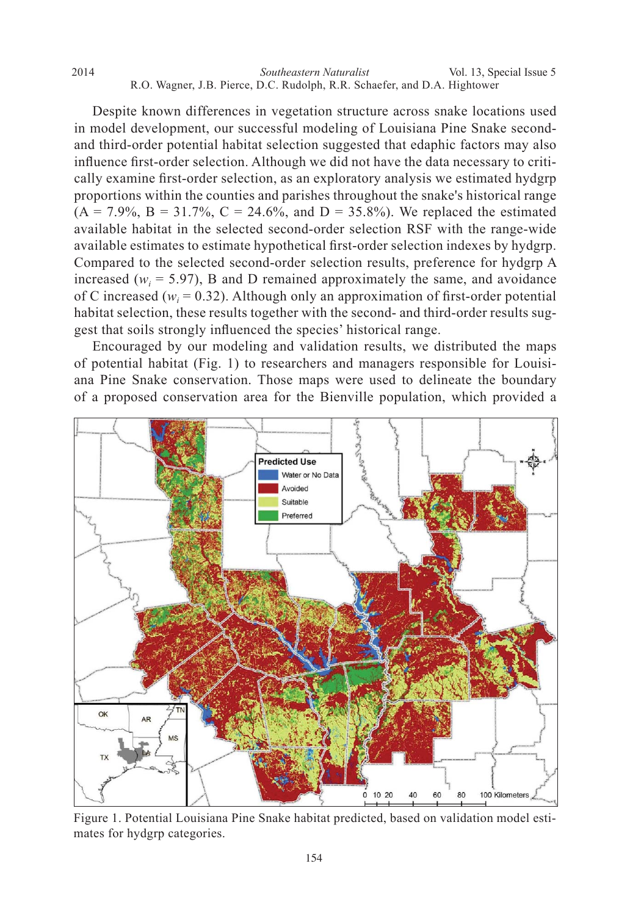Despite known differences in vegetation structure across snake locations used in model development, our successful modeling of Louisiana Pine Snake secondand third-order potential habitat selection suggested that edaphic factors may also influence first-order selection. Although we did not have the data necessary to critically examine first-order selection, as an exploratory analysis we estimated hydgrp proportions within the counties and parishes throughout the snake's historical range  $(A = 7.9\%, B = 31.7\%, C = 24.6\%, \text{ and } D = 35.8\%$ ). We replaced the estimated available habitat in the selected second-order selection RSF with the range-wide available estimates to estimate hypothetical first-order selection indexes by hydgrp. Compared to the selected second-order selection results, preference for hydgrp A increased ( $w_i$  = 5.97), B and D remained approximately the same, and avoidance of C increased ( $w_i$  = 0.32). Although only an approximation of first-order potential habitat selection, these results together with the second- and third-order results suggest that soils strongly influenced the species' historical range.

 Encouraged by our modeling and validation results, we distributed the maps of potential habitat (Fig. 1) to researchers and managers responsible for Louisiana Pine Snake conservation. Those maps were used to delineate the boundary of a proposed conservation area for the Bienville population, which provided a



Figure 1. Potential Louisiana Pine Snake habitat predicted, based on validation model estimates for hydgrp categories.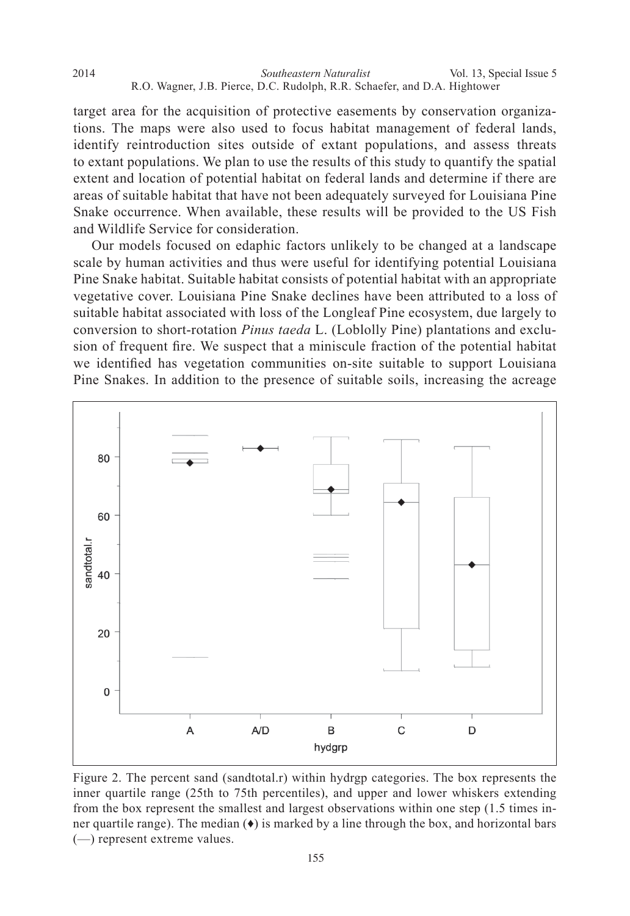*Southeastern Naturalist* 2014 Vol. 13, Special Issue 5 R.O. Wagner, J.B. Pierce, D.C. Rudolph, R.R. Schaefer, and D.A. Hightower

target area for the acquisition of protective easements by conservation organizations. The maps were also used to focus habitat management of federal lands, identify reintroduction sites outside of extant populations, and assess threats to extant populations. We plan to use the results of this study to quantify the spatial extent and location of potential habitat on federal lands and determine if there are areas of suitable habitat that have not been adequately surveyed for Louisiana Pine Snake occurrence. When available, these results will be provided to the US Fish and Wildlife Service for consideration.

 Our models focused on edaphic factors unlikely to be changed at a landscape scale by human activities and thus were useful for identifying potential Louisiana Pine Snake habitat. Suitable habitat consists of potential habitat with an appropriate vegetative cover. Louisiana Pine Snake declines have been attributed to a loss of suitable habitat associated with loss of the Longleaf Pine ecosystem, due largely to conversion to short-rotation *Pinus taeda* L. (Loblolly Pine) plantations and exclusion of frequent fire. We suspect that a miniscule fraction of the potential habitat we identified has vegetation communities on-site suitable to support Louisiana Pine Snakes. In addition to the presence of suitable soils, increasing the acreage



Figure 2. The percent sand (sandtotal.r) within hydrgp categories. The box represents the inner quartile range (25th to 75th percentiles), and upper and lower whiskers extending from the box represent the smallest and largest observations within one step (1.5 times inner quartile range). The median  $(\bullet)$  is marked by a line through the box, and horizontal bars (—) represent extreme values.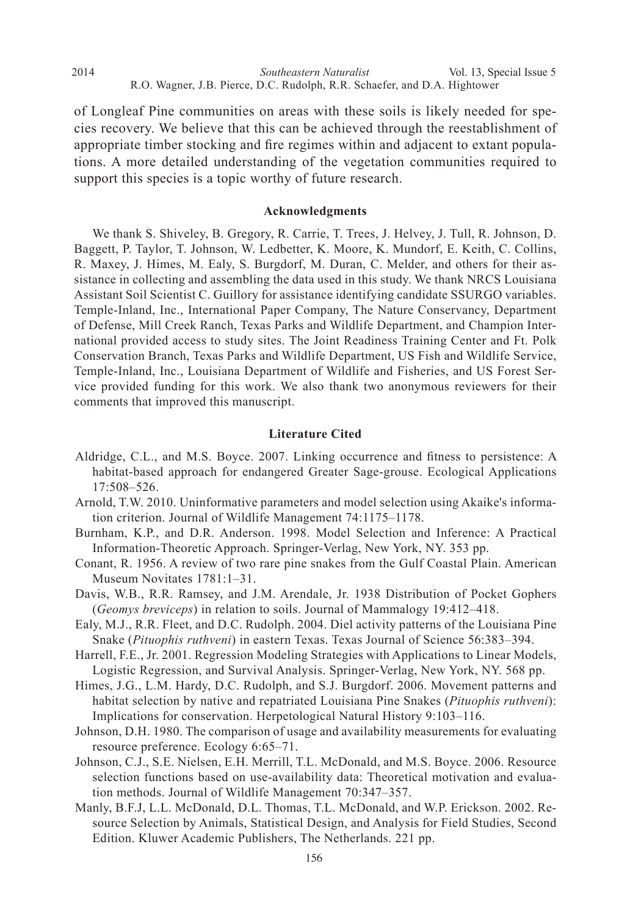of Longleaf Pine communities on areas with these soils is likely needed for species recovery. We believe that this can be achieved through the reestablishment of appropriate timber stocking and fire regimes within and adjacent to extant populations. A more detailed understanding of the vegetation communities required to support this species is a topic worthy of future research.

#### **Acknowledgments**

 We thank S. Shiveley, B. Gregory, R. Carrie, T. Trees, J. Helvey, J. Tull, R. Johnson, D. Baggett, P. Taylor, T. Johnson, W. Ledbetter, K. Moore, K. Mundorf, E. Keith, C. Collins, R. Maxey, J. Himes, M. Ealy, S. Burgdorf, M. Duran, C. Melder, and others for their assistance in collecting and assembling the data used in this study. We thank NRCS Louisiana Assistant Soil Scientist C. Guillory for assistance identifying candidate SSURGO variables. Temple-Inland, Inc., International Paper Company, The Nature Conservancy, Department of Defense, Mill Creek Ranch, Texas Parks and Wildlife Department, and Champion International provided access to study sites. The Joint Readiness Training Center and Ft. Polk Conservation Branch, Texas Parks and Wildlife Department, US Fish and Wildlife Service, Temple-Inland, Inc., Louisiana Department of Wildlife and Fisheries, and US Forest Service provided funding for this work. We also thank two anonymous reviewers for their comments that improved this manuscript.

#### **Literature Cited**

- Aldridge, C.L., and M.S. Boyce. 2007. Linking occurrence and fitness to persistence: A habitat-based approach for endangered Greater Sage-grouse. Ecological Applications 17:508–526.
- Arnold, T.W. 2010. Uninformative parameters and model selection using Akaike's information criterion. Journal of Wildlife Management 74:1175–1178.
- Burnham, K.P., and D.R. Anderson. 1998. Model Selection and Inference: A Practical Information-Theoretic Approach. Springer-Verlag, New York, NY. 353 pp.
- Conant, R. 1956. A review of two rare pine snakes from the Gulf Coastal Plain. American Museum Novitates 1781:1–31.
- Davis, W.B., R.R. Ramsey, and J.M. Arendale, Jr. 1938 Distribution of Pocket Gophers (*Geomys breviceps*) in relation to soils. Journal of Mammalogy 19:412–418.
- Ealy, M.J., R.R. Fleet, and D.C. Rudolph. 2004. Diel activity patterns of the Louisiana Pine Snake (*Pituophis ruthveni*) in eastern Texas. Texas Journal of Science 56:383–394.
- Harrell, F.E., Jr. 2001. Regression Modeling Strategies with Applications to Linear Models, Logistic Regression, and Survival Analysis. Springer-Verlag, New York, NY. 568 pp.
- Himes, J.G., L.M. Hardy, D.C. Rudolph, and S.J. Burgdorf. 2006. Movement patterns and habitat selection by native and repatriated Louisiana Pine Snakes (*Pituophis ruthveni*): Implications for conservation. Herpetological Natural History 9:103–116.
- Johnson, D.H. 1980. The comparison of usage and availability measurements for evaluating resource preference. Ecology 6:65–71.
- Johnson, C.J., S.E. Nielsen, E.H. Merrill, T.L. McDonald, and M.S. Boyce. 2006. Resource selection functions based on use-availability data: Theoretical motivation and evaluation methods. Journal of Wildlife Management 70:347–357.
- Manly, B.F.J, L.L. McDonald, D.L. Thomas, T.L. McDonald, and W.P. Erickson. 2002. Resource Selection by Animals, Statistical Design, and Analysis for Field Studies, Second Edition. Kluwer Academic Publishers, The Netherlands. 221 pp.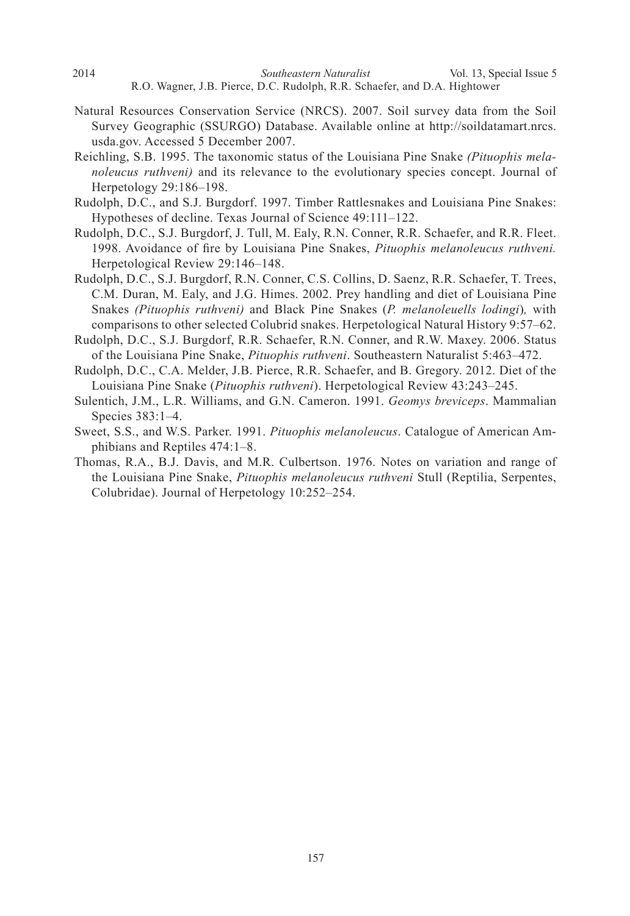- *Southeastern Naturalist* 2014 Vol. 13, Special Issue 5 R.O. Wagner, J.B. Pierce, D.C. Rudolph, R.R. Schaefer, and D.A. Hightower
- Natural Resources Conservation Service (NRCS). 2007. Soil survey data from the Soil Survey Geographic (SSURGO) Database. Available online at http://soildatamart.nrcs. usda.gov. Accessed 5 December 2007.
- Reichling, S.B. 1995. The taxonomic status of the Louisiana Pine Snake *(Pituophis melanoleucus ruthveni)* and its relevance to the evolutionary species concept. Journal of Herpetology 29:186–198.
- Rudolph, D.C., and S.J. Burgdorf. 1997. Timber Rattlesnakes and Louisiana Pine Snakes: Hypotheses of decline. Texas Journal of Science 49:111–122.
- Rudolph, D.C., S.J. Burgdorf, J. Tull, M. Ealy, R.N. Conner, R.R. Schaefer, and R.R. Fleet. 1998. Avoidance of fire by Louisiana Pine Snakes, Pituophis melanoleucus ruthveni. Herpetological Review 29:146–148.
- Rudolph, D.C., S.J. Burgdorf, R.N. Conner, C.S. Collins, D. Saenz, R.R. Schaefer, T. Trees, C.M. Duran, M. Ealy, and J.G. Himes. 2002. Prey handling and diet of Louisiana Pine Snakes *(Pituophis ruthveni)* and Black Pine Snakes (*P. melanoleuells lodingi*)*,* with comparisons to other selected Colubrid snakes. Herpetological Natural History 9:57–62.
- Rudolph, D.C., S.J. Burgdorf, R.R. Schaefer, R.N. Conner, and R.W. Maxey. 2006. Status of the Louisiana Pine Snake, *Pituophis ruthveni*. Southeastern Naturalist 5:463–472.
- Rudolph, D.C., C.A. Melder, J.B. Pierce, R.R. Schaefer, and B. Gregory. 2012. Diet of the Louisiana Pine Snake (*Pituophis ruthveni*). Herpetological Review 43:243–245.
- Sulentich, J.M., L.R. Williams, and G.N. Cameron. 1991. *Geomys breviceps*. Mammalian Species 383:1–4.
- Sweet, S.S., and W.S. Parker. 1991. *Pituophis melanoleucus*. Catalogue of American Amphibians and Reptiles 474:1–8.
- Thomas, R.A., B.J. Davis, and M.R. Culbertson. 1976. Notes on variation and range of the Louisiana Pine Snake, *Pituophis melanoleucus ruthveni* Stull (Reptilia, Serpentes, Colubridae). Journal of Herpetology 10:252–254.